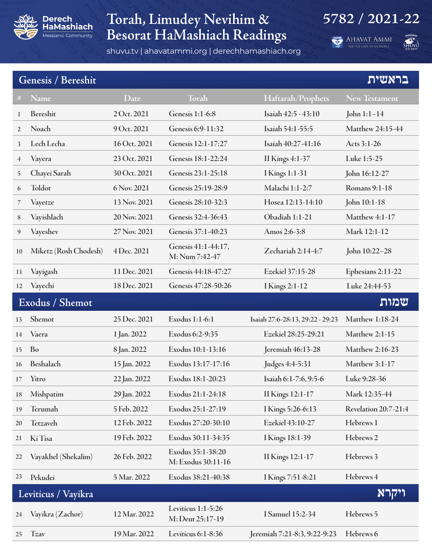

## **Torah, Limudey Nevihim & 5782 / 2021-22 Besorat HaMashiach Readings**

shuvu.tv | ahavatammi.org | derechhamashiach.org

**AHAVAT AMMI** 



|                         | בראשית<br>Genesis / Bereshit |              |                                         |                                  |                        |  |  |
|-------------------------|------------------------------|--------------|-----------------------------------------|----------------------------------|------------------------|--|--|
| #                       | Name                         | <b>Date</b>  | Torah                                   | Haftarah/Prophets                | <b>New Testament</b>   |  |  |
| 1                       | <b>Bereshit</b>              | 2 Oct. 2021  | <b>Genesis 1:1-6:8</b>                  | Isaiah 42:5 - 43:10              | John $1:1-14$          |  |  |
| $\overline{2}$          | Noach                        | 9 Oct. 2021  | Genesis 6:9-11:32                       | Isaiah 54:1-55:5                 | Matthew 24:15-44       |  |  |
| 3                       | Lech Lecha                   | 16 Oct. 2021 | Genesis 12:1-17:27                      | Isaiah 40:27-41:16               | Acts 3:1-26            |  |  |
| $\overline{4}$          | Vayera                       | 23 Oct. 2021 | Genesis 18:1-22:24                      | <b>II Kings 4:1-37</b>           | Luke 1:5-25            |  |  |
| 5                       | Chayei Sarah                 | 30 Oct. 2021 | Genesis 23:1-25:18                      | <b>I</b> Kings 1:1-31            | John 16:12-27          |  |  |
| 6                       | Toldot                       | 6 Nov. 2021  | Genesis 25:19-28:9                      | Malachi 1:1-2:7                  | Romans 9:1-18          |  |  |
| 7                       | Vayetze                      | 13 Nov. 2021 | Genesis 28:10-32:3                      | Hosea 12:13-14:10                | John 10:1-18           |  |  |
| 8                       | Vayishlach                   | 20 Nov. 2021 | Genesis 32:4-36:43                      | Obadiah 1:1-21                   | Matthew 4:1-17         |  |  |
| 9                       | Vayeshev                     | 27 Nov. 2021 | Genesis 37:1-40:23                      | Amos 2:6-3:8                     | Mark 12:1-12           |  |  |
| 10                      | Miketz (Rosh Chodesh)        | 4 Dec. 2021  | Genesis 41:1-44:17,<br>M: Num 7:42-47   | Zechariah 2:14-4:7               | John 10:22-28          |  |  |
| 11                      | Vayigash                     | 11 Dec. 2021 | Genesis 44:18-47:27                     | Ezekiel 37:15-28                 | Ephesians 2:11-22      |  |  |
| 12                      | Vayechi                      | 18 Dec. 2021 | Genesis 47:28-50:26                     | I Kings 2:1-12                   | Luke 24:44-53          |  |  |
| שמות<br>Exodus / Shemot |                              |              |                                         |                                  |                        |  |  |
|                         |                              |              |                                         |                                  |                        |  |  |
| 13                      | Shemot                       | 25 Dec. 2021 | Exodus 1:1-6:1                          | Isaiah 27:6-28:13, 29:22 - 29:23 | <b>Matthew 1:18-24</b> |  |  |
| 14                      | Vaera                        | 1 Jan. 2022  | Exodus 6:2-9:35                         | Ezekiel 28:25-29:21              | <b>Matthew 2:1-15</b>  |  |  |
| 15                      | Bo                           | 8 Jan. 2022  | Exodus 10:1-13:16                       | Jeremiah 46:13-28                | Matthew 2:16-23        |  |  |
| 16                      | Beshalach                    | 15 Jan. 2022 | Exodus 13:17-17:16                      | Judges 4:4-5:31                  | Matthew 3:1-17         |  |  |
| 17                      | Yitro                        | 22 Jan. 2022 | Exodus 18:1-20:23                       | Isaiah 6:1-7:6, 9:5-6            | Luke 9:28-36           |  |  |
| 18                      | Mishpatim                    | 29 Jan. 2022 | Exodus 21:1-24:18                       | <b>II Kings 12:1-17</b>          | Mark 12:35-44          |  |  |
| 19                      | Terumah                      | 5 Feb. 2022  | Exodus 25:1-27:19                       | I Kings 5:26-6:13                | Revelation 20:7-21:4   |  |  |
| 20                      | Tetzaveh                     | 12 Feb. 2022 | Exodus 27:20-30:10                      | Ezekiel 43:10-27                 | Hebrews 1              |  |  |
| 21                      | Ki Tisa                      | 19 Feb. 2022 | Exodus 30:11-34:35                      | I Kings 18:1-39                  | Hebrews <sub>2</sub>   |  |  |
| 22                      | Vayakhel (Shekalim)          | 26 Feb. 2022 | Exodus 35:1-38:20<br>M: Exodus 30:11-16 | II Kings 12:1-17                 | Hebrews 3              |  |  |
| 23                      | Pekudei                      | 5 Mar. 2022  | Exodus 38:21-40:38                      | I Kings 7:51-8:21                | Hebrews 4              |  |  |
|                         | Leviticus / Vayikra          |              |                                         |                                  | ויקרא                  |  |  |
| 24                      | Vayikra (Zachor)             | 12 Mar. 2022 | Leviticus 1:1-5:26<br>M: Deut 25:17-19  | I Samuel 15:2-34                 | Hebrews 5              |  |  |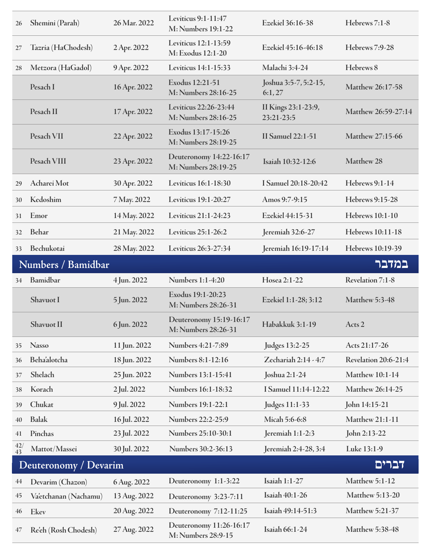| 26                          | Shemini (Parah)       | 26 Mar. 2022 | Leviticus 9:1-11:47<br>M: Numbers 19:1-22      | Ezekiel 36:16-38                  | Hebrews 7:1-8               |  |  |
|-----------------------------|-----------------------|--------------|------------------------------------------------|-----------------------------------|-----------------------------|--|--|
| 27                          | Tazria (HaChodesh)    | 2 Apr. 2022  | Leviticus 12:1-13:59<br>M: Exodus 12:1-20      | Ezekiel 45:16-46:18               | Hebrews 7:9-28              |  |  |
| 28                          | Metzora (HaGadol)     | 9 Apr. 2022  | Leviticus 14:1-15:33                           | Malachi 3:4-24                    | Hebrews 8                   |  |  |
|                             | Pesach I              | 16 Apr. 2022 | Exodus 12:21-51<br>M: Numbers 28:16-25         | Joshua 3:5-7, 5:2-15,<br>6:1,27   | Matthew 26:17-58            |  |  |
|                             | Pesach II             | 17 Apr. 2022 | Leviticus 22:26-23:44<br>M: Numbers 28:16-25   | II Kings 23:1-23:9,<br>23:21-23:5 | Matthew 26:59-27:14         |  |  |
|                             | Pesach VII            | 22 Apr. 2022 | Exodus 13:17-15:26<br>M: Numbers 28:19-25      | <b>II Samuel 22:1-51</b>          | Matthew 27:15-66            |  |  |
|                             | Pesach VIII           | 23 Apr. 2022 | Deuteronomy 14:22-16:17<br>M: Numbers 28:19-25 | Isaiah 10:32-12:6                 | Matthew 28                  |  |  |
| 29                          | Acharei Mot           | 30 Apr. 2022 | Leviticus 16:1-18:30                           | I Samuel 20:18-20:42              | Hebrews 9:1-14              |  |  |
| 30                          | Kedoshim              | 7 May. 2022  | Leviticus 19:1-20:27                           | Amos 9:7-9:15                     | Hebrews 9:15-28             |  |  |
| 31                          | Emor                  | 14 May. 2022 | Leviticus 21:1-24:23                           | Ezekiel 44:15-31                  | Hebrews 10:1-10             |  |  |
| 32                          | Behar                 | 21 May. 2022 | Leviticus 25:1-26:2                            | Jeremiah 32:6-27                  | Hebrews 10:11-18            |  |  |
| 33                          | Bechukotai            | 28 May. 2022 | Leviticus 26:3-27:34                           | Jeremiah 16:19-17:14              | Hebrews 10:19-39            |  |  |
| במדבר<br>Numbers / Bamidbar |                       |              |                                                |                                   |                             |  |  |
|                             |                       |              |                                                |                                   |                             |  |  |
| 34                          | Bamidbar              | 4 Jun. 2022  | <b>Numbers 1:1-4:20</b>                        | Hosea 2:1-22                      | Revelation 7:1-8            |  |  |
|                             | Shavuot I             | 5 Jun. 2022  | Exodus 19:1-20:23<br>M: Numbers 28:26-31       | Ezekiel 1:1-28; 3:12              | Matthew 5:3-48              |  |  |
|                             | Shavuot II            | 6 Jun. 2022  | Deuteronomy 15:19-16:17<br>M: Numbers 28:26-31 | Habakkuk 3:1-19                   | Acts 2                      |  |  |
| 35                          | <b>Nasso</b>          | 11 Jun. 2022 | Numbers 4:21-7:89                              | <b>Judges 13:2-25</b>             | Acts 21:17-26               |  |  |
| 36                          | <b>Beha'alotcha</b>   | 18 Jun. 2022 | Numbers 8:1-12:16                              | Zechariah 2:14 - 4:7              | <b>Revelation 20:6-21:4</b> |  |  |
| 37                          | Shelach               | 25 Jun. 2022 | Numbers 13:1-15:41                             | Joshua 2:1-24                     | <b>Matthew 10:1-14</b>      |  |  |
| 38                          | Korach                | 2 Jul. 2022  | Numbers 16:1-18:32                             | I Samuel 11:14-12:22              | Matthew 26:14-25            |  |  |
| 39                          | Chukat                | 9 Jul. 2022  | Numbers 19:1-22:1                              | Judges 11:1-33                    | John 14:15-21               |  |  |
| 40                          | <b>Balak</b>          | 16 Jul. 2022 | Numbers 22:2-25:9                              | Micah 5:6-6:8                     | Matthew 21:1-11             |  |  |
| 41                          | Pinchas               | 23 Jul. 2022 | Numbers 25:10-30:1                             | Jeremiah 1:1-2:3                  | John 2:13-22                |  |  |
| $\frac{42}{43}$             | Mattot/Massei         | 30 Jul. 2022 | Numbers 30:2-36:13                             | Jeremiah 2:4-28, 3:4              | Luke 13:1-9                 |  |  |
|                             | Deuteronomy / Devarim |              |                                                |                                   | דברים                       |  |  |
| 44                          | Devarim (Chazon)      | 6 Aug. 2022  | Deuteronomy 1:1-3:22                           | <b>Isaiah 1:1-27</b>              | Matthew 5:1-12              |  |  |
| 45                          | Va'etchanan (Nachamu) | 13 Aug. 2022 | Deuteronomy 3:23-7:11                          | Isaiah 40:1-26                    | Matthew 5:13-20             |  |  |
| 46                          | Ekev                  | 20 Aug. 2022 | Deuteronomy 7:12-11:25                         | Isaiah 49:14-51:3                 | Matthew 5:21-37             |  |  |